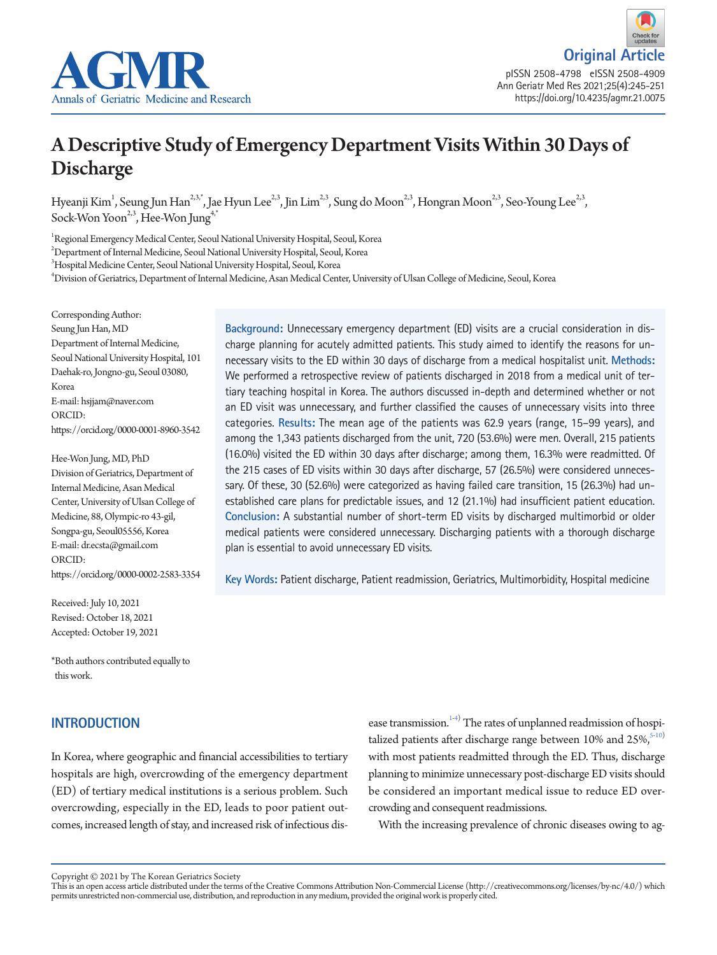



# A Descriptive Study of Emergency Department Visits Within 30 Days of Discharge

Hyeanji Kim<sup>1</sup>, Seung Jun Han<sup>2,3,\*</sup>, Jae Hyun Lee<sup>2,3</sup>, Jin Lim<sup>2,3</sup>, Sung do Moon<sup>2,3</sup>, Hongran Moon<sup>2,3</sup>, Seo-Young Lee<sup>2,3</sup>, Sock-Won Yoon<sup>2,3</sup>, Hee-Won Jung<sup>4,</sup>

1 Regional Emergency Medical Center, Seoul National University Hospital, Seoul, Korea

2 Department of Internal Medicine, Seoul National University Hospital, Seoul, Korea

3 Hospital Medicine Center, Seoul National University Hospital, Seoul, Korea

4 Division of Geriatrics, Department of Internal Medicine, Asan Medical Center, University of Ulsan College of Medicine, Seoul, Korea

Corresponding Author: Seung Jun Han, MD Department of Internal Medicine, Seoul National University Hospital, 101 Daehak-ro, Jongno-gu, Seoul 03080, Korea E-mail: hsjjam@naver.com ORCID: https://orcid.org/0000-0001-8960-3542

Hee-Won Jung, MD, PhD Division of Geriatrics, Department of Internal Medicine, Asan Medical Center, University of Ulsan College of Medicine, 88, Olympic-ro 43-gil, Songpa-gu, Seoul05556, Korea E-mail: dr.ecsta@gmail.com ORCID: https://orcid.org/0000-0002-2583-3354

Received: July 10, 2021 Revised: October 18, 2021 Accepted: October 19, 2021

\*Both authors contributed equally to this work.

# **INTRODUCTION**

In Korea, where geographic and financial accessibilities to tertiary hospitals are high, overcrowding of the emergency department (ED) of tertiary medical institutions is a serious problem. Such overcrowding, especially in the ED, leads to poor patient outcomes, increased length of stay, and increased risk of infectious dis-

**Background:** Unnecessary emergency department (ED) visits are a crucial consideration in discharge planning for acutely admitted patients. This study aimed to identify the reasons for unnecessary visits to the ED within 30 days of discharge from a medical hospitalist unit. **Methods:** We performed a retrospective review of patients discharged in 2018 from a medical unit of tertiary teaching hospital in Korea. The authors discussed in-depth and determined whether or not an ED visit was unnecessary, and further classified the causes of unnecessary visits into three categories. **Results:** The mean age of the patients was 62.9 years (range, 15–99 years), and among the 1,343 patients discharged from the unit, 720 (53.6%) were men. Overall, 215 patients (16.0%) visited the ED within 30 days after discharge; among them, 16.3% were readmitted. Of the 215 cases of ED visits within 30 days after discharge, 57 (26.5%) were considered unnecessary. Of these, 30 (52.6%) were categorized as having failed care transition, 15 (26.3%) had unestablished care plans for predictable issues, and 12 (21.1%) had insufficient patient education. **Conclusion:** A substantial number of short-term ED visits by discharged multimorbid or older medical patients were considered unnecessary. Discharging patients with a thorough discharge plan is essential to avoid unnecessary ED visits.

**Key Words:** Patient discharge, Patient readmission, Geriatrics, Multimorbidity, Hospital medicine

ease transmission.<sup>1-[4](#page-5-0))</sup> The rates of unplanned readmission of hospitalized patients after discharge range between 10% and  $25\%$ ,  $5-10$  $5-10$ ) with most patients readmitted through the ED. Thus, discharge planning to minimize unnecessary post-discharge ED visits should be considered an important medical issue to reduce ED overcrowding and consequent readmissions.

With the increasing prevalence of chronic diseases owing to ag-

Copyright © 2021 by The Korean Geriatrics Society<br>This is an open access article distributed under the terms of the Creative Commons Attribution Non-Commercial License (http://creativecommons.org/licenses/by-nc/4.0/) which permits unrestricted non-commercial use, distribution, and reproduction in any medium, provided the original work is properly cited.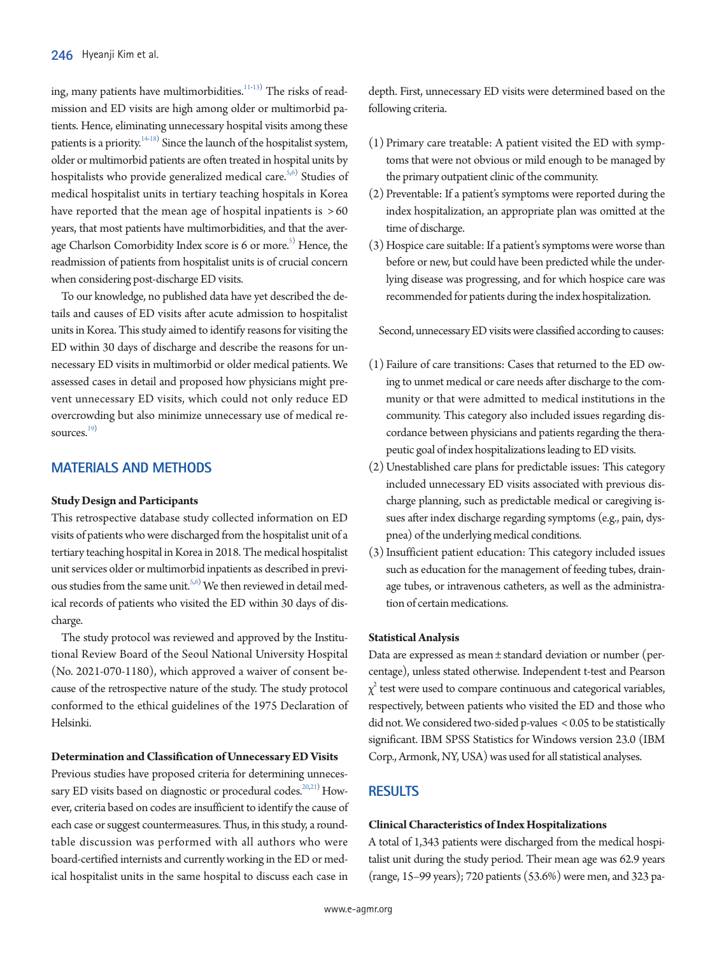ing, many patients have multimorbidities. $^{11-13)}$  $^{11-13)}$  $^{11-13)}$  $^{11-13)}$  The risks of readmission and ED visits are high among older or multimorbid patients. Hence, eliminating unnecessary hospital visits among these patients is a priority.  $14-18$  $14-18$ <sup>2</sup> Since the launch of the hospitalist system, older or multimorbid patients are often treated in hospital units by hospitalists who provide generalized medical care.<sup>5[,6](#page-4-2))</sup> Studies of medical hospitalist units in tertiary teaching hospitals in Korea have reported that the mean age of hospital inpatients is  $>60$ years, that most patients have multimorbidities, and that the average Charlson Comorbidity Index score is 6 or more.<sup>5)</sup> Hence, the readmission of patients from hospitalist units is of crucial concern when considering post-discharge ED visits.

To our knowledge, no published data have yet described the details and causes of ED visits after acute admission to hospitalist units in Korea. This study aimed to identify reasons for visiting the ED within 30 days of discharge and describe the reasons for unnecessary ED visits in multimorbid or older medical patients. We assessed cases in detail and proposed how physicians might prevent unnecessary ED visits, which could not only reduce ED overcrowding but also minimize unnecessary use of medical re-sources.<sup>[19](#page-5-6))</sup>

# **MATERIALS AND METHODS**

#### **Study Design and Participants**

This retrospective database study collected information on ED visits of patients who were discharged from the hospitalist unit of a tertiary teaching hospital in Korea in 2018. The medical hospitalist unit services older or multimorbid inpatients as described in previ-ous studies from the same unit.<sup>5[,6\)](#page-4-2)</sup> We then reviewed in detail medical records of patients who visited the ED within 30 days of discharge.

The study protocol was reviewed and approved by the Institutional Review Board of the Seoul National University Hospital (No. 2021-070-1180), which approved a waiver of consent because of the retrospective nature of the study. The study protocol conformed to the ethical guidelines of the 1975 Declaration of Helsinki.

#### **Determination and Classification of Unnecessary ED Visits**

Previous studies have proposed criteria for determining unneces-sary ED visits based on diagnostic or procedural codes.<sup>20[,21](#page-5-8))</sup> However, criteria based on codes are insufficient to identify the cause of each case or suggest countermeasures. Thus, in this study, a roundtable discussion was performed with all authors who were board-certified internists and currently working in the ED or medical hospitalist units in the same hospital to discuss each case in

depth. First, unnecessary ED visits were determined based on the following criteria.

- (1) Primary care treatable: A patient visited the ED with symptoms that were not obvious or mild enough to be managed by the primary outpatient clinic of the community.
- (2) Preventable: If a patient's symptoms were reported during the index hospitalization, an appropriate plan was omitted at the time of discharge.
- (3) Hospice care suitable: If a patient's symptoms were worse than before or new, but could have been predicted while the underlying disease was progressing, and for which hospice care was recommended for patients during the index hospitalization.

Second, unnecessary ED visits were classified according to causes:

- (1) Failure of care transitions: Cases that returned to the ED owing to unmet medical or care needs after discharge to the community or that were admitted to medical institutions in the community. This category also included issues regarding discordance between physicians and patients regarding the therapeutic goal of index hospitalizations leading to ED visits.
- (2) Unestablished care plans for predictable issues: This category included unnecessary ED visits associated with previous discharge planning, such as predictable medical or caregiving issues after index discharge regarding symptoms (e.g., pain, dyspnea) of the underlying medical conditions.
- (3) Insufficient patient education: This category included issues such as education for the management of feeding tubes, drainage tubes, or intravenous catheters, as well as the administration of certain medications.

#### **Statistical Analysis**

Data are expressed as mean ± standard deviation or number (percentage), unless stated otherwise. Independent t-test and Pearson  $\chi^2$  test were used to compare continuous and categorical variables, respectively, between patients who visited the ED and those who did not. We considered two-sided p-values < 0.05 to be statistically significant. IBM SPSS Statistics for Windows version 23.0 (IBM Corp., Armonk, NY, USA) was used for all statistical analyses.

# **RESULTS**

#### **Clinical Characteristics of Index Hospitalizations**

A total of 1,343 patients were discharged from the medical hospitalist unit during the study period. Their mean age was 62.9 years (range, 15–99 years); 720 patients (53.6%) were men, and 323 pa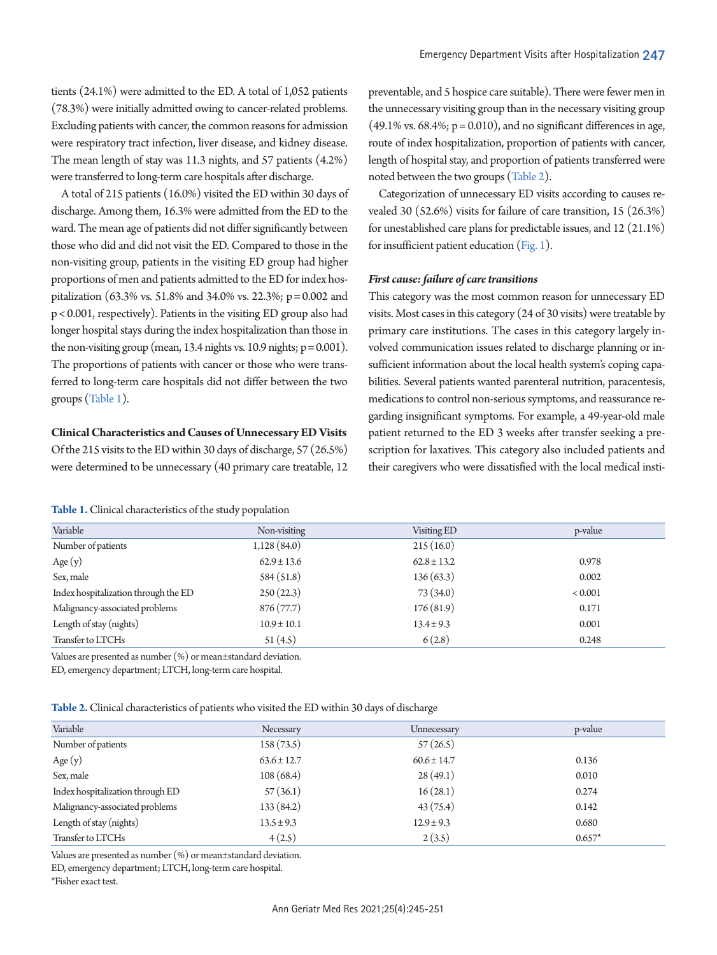were respiratory tract infection, liver disease, and kidney disease. The mean length of stay was 11.3 nights, and 57 patients (4.2%) were transferred to long-term care hospitals after discharge.

A total of 215 patients (16.0%) visited the ED within 30 days of discharge. Among them, 16.3% were admitted from the ED to the ward. The mean age of patients did not differ significantly between those who did and did not visit the ED. Compared to those in the non-visiting group, patients in the visiting ED group had higher proportions of men and patients admitted to the ED for index hospitalization (63.3% vs. 51.8% and 34.0% vs. 22.3%; p = 0.002 and p < 0.001, respectively). Patients in the visiting ED group also had longer hospital stays during the index hospitalization than those in the non-visiting group (mean, 13.4 nights vs. 10.9 nights;  $p = 0.001$ ). The proportions of patients with cancer or those who were transferred to long-term care hospitals did not differ between the two groups [\(Table 1](#page-2-0)).

## **Clinical Characteristics and Causes of Unnecessary ED Visits**

Of the 215 visits to the ED within 30 days of discharge, 57 (26.5%) were determined to be unnecessary (40 primary care treatable, 12

<span id="page-2-0"></span>**Table 1.** Clinical characteristics of the study population

preventable, and 5 hospice care suitable). There were fewer men in the unnecessary visiting group than in the necessary visiting group  $(49.1\% \text{ vs. } 68.4\%; \text{ p} = 0.010)$ , and no significant differences in age, route of index hospitalization, proportion of patients with cancer, length of hospital stay, and proportion of patients transferred were noted between the two groups [\(Table 2](#page-2-1)).

Categorization of unnecessary ED visits according to causes revealed 30 (52.6%) visits for failure of care transition, 15 (26.3%) for unestablished care plans for predictable issues, and 12 (21.1%) for insufficient patient education [\(Fig. 1](#page-3-0)).

## *First cause: failure of care transitions*

This category was the most common reason for unnecessary ED visits. Most cases in this category (24 of 30 visits) were treatable by primary care institutions. The cases in this category largely involved communication issues related to discharge planning or insufficient information about the local health system's coping capabilities. Several patients wanted parenteral nutrition, paracentesis, medications to control non-serious symptoms, and reassurance regarding insignificant symptoms. For example, a 49-year-old male patient returned to the ED 3 weeks after transfer seeking a prescription for laxatives. This category also included patients and their caregivers who were dissatisfied with the local medical insti-

| Variable                             | Non-visiting    | Visiting ED     | p-value |
|--------------------------------------|-----------------|-----------------|---------|
| Number of patients                   | 1,128(84.0)     | 215(16.0)       |         |
| Age $(y)$                            | $62.9 \pm 13.6$ | $62.8 \pm 13.2$ | 0.978   |
| Sex, male                            | 584(51.8)       | 136(63.3)       | 0.002   |
| Index hospitalization through the ED | 250(22.3)       | 73(34.0)        | < 0.001 |
| Malignancy-associated problems       | 876(77.7)       | 176(81.9)       | 0.171   |
| Length of stay (nights)              | $10.9 \pm 10.1$ | $13.4 \pm 9.3$  | 0.001   |
| Transfer to LTCHs                    | 51(4.5)         | 6(2.8)          | 0.248   |
|                                      |                 |                 |         |

Values are presented as number (%) or mean±standard deviation.

ED, emergency department; LTCH, long-term care hospital.

<span id="page-2-1"></span>

| Table 2. Clinical characteristics of patients who visited the ED within 30 days of discharge |  |  |
|----------------------------------------------------------------------------------------------|--|--|
|----------------------------------------------------------------------------------------------|--|--|

| Variable                         | Necessary       | Unnecessary     | p-value  |
|----------------------------------|-----------------|-----------------|----------|
| Number of patients               | 158(73.5)       | 57(26.5)        |          |
| Age $(y)$                        | $63.6 \pm 12.7$ | $60.6 \pm 14.7$ | 0.136    |
| Sex, male                        | 108(68.4)       | 28(49.1)        | 0.010    |
| Index hospitalization through ED | 57(36.1)        | 16(28.1)        | 0.274    |
| Malignancy-associated problems   | 133 (84.2)      | 43(75.4)        | 0.142    |
| Length of stay (nights)          | $13.5 \pm 9.3$  | $12.9 \pm 9.3$  | 0.680    |
| Transfer to LTCHs                | 4(2.5)          | 2(3.5)          | $0.657*$ |

Values are presented as number (%) or mean±standard deviation.

ED, emergency department; LTCH, long-term care hospital.

\*Fisher exact test.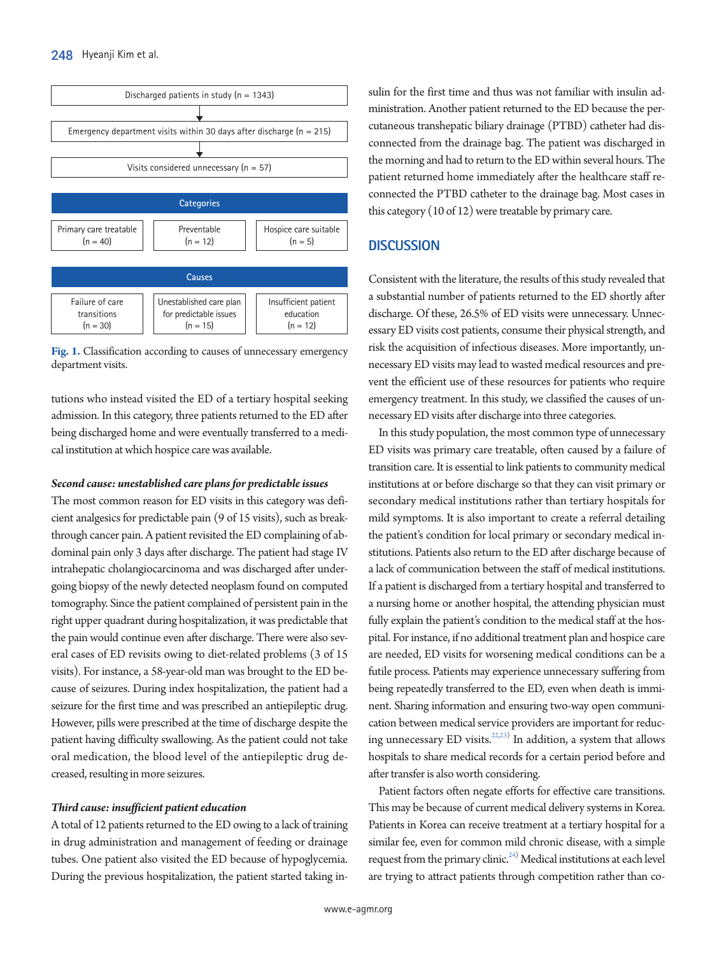<span id="page-3-0"></span>

**Fig. 1.** Classification according to causes of unnecessary emergency department visits.

tutions who instead visited the ED of a tertiary hospital seeking admission. In this category, three patients returned to the ED after being discharged home and were eventually transferred to a medical institution at which hospice care was available.

## *Second cause: unestablished care plans for predictable issues*

The most common reason for ED visits in this category was deficient analgesics for predictable pain (9 of 15 visits), such as breakthrough cancer pain. A patient revisited the ED complaining of abdominal pain only 3 days after discharge. The patient had stage IV intrahepatic cholangiocarcinoma and was discharged after undergoing biopsy of the newly detected neoplasm found on computed tomography. Since the patient complained of persistent pain in the right upper quadrant during hospitalization, it was predictable that the pain would continue even after discharge. There were also several cases of ED revisits owing to diet-related problems (3 of 15 visits). For instance, a 58-year-old man was brought to the ED because of seizures. During index hospitalization, the patient had a seizure for the first time and was prescribed an antiepileptic drug. However, pills were prescribed at the time of discharge despite the patient having difficulty swallowing. As the patient could not take oral medication, the blood level of the antiepileptic drug decreased, resulting in more seizures.

#### *Third cause: insufficient patient education*

A total of 12 patients returned to the ED owing to a lack of training in drug administration and management of feeding or drainage tubes. One patient also visited the ED because of hypoglycemia. During the previous hospitalization, the patient started taking insulin for the first time and thus was not familiar with insulin administration. Another patient returned to the ED because the percutaneous transhepatic biliary drainage (PTBD) catheter had disconnected from the drainage bag. The patient was discharged in the morning and had to return to the ED within several hours. The patient returned home immediately after the healthcare staff reconnected the PTBD catheter to the drainage bag. Most cases in this category (10 of 12) were treatable by primary care.

# **DISCUSSION**

Consistent with the literature, the results of this study revealed that a substantial number of patients returned to the ED shortly after discharge. Of these, 26.5% of ED visits were unnecessary. Unnecessary ED visits cost patients, consume their physical strength, and risk the acquisition of infectious diseases. More importantly, unnecessary ED visits may lead to wasted medical resources and prevent the efficient use of these resources for patients who require emergency treatment. In this study, we classified the causes of unnecessary ED visits after discharge into three categories.

In this study population, the most common type of unnecessary ED visits was primary care treatable, often caused by a failure of transition care. It is essential to link patients to community medical institutions at or before discharge so that they can visit primary or secondary medical institutions rather than tertiary hospitals for mild symptoms. It is also important to create a referral detailing the patient's condition for local primary or secondary medical institutions. Patients also return to the ED after discharge because of a lack of communication between the staff of medical institutions. If a patient is discharged from a tertiary hospital and transferred to a nursing home or another hospital, the attending physician must fully explain the patient's condition to the medical staff at the hospital. For instance, if no additional treatment plan and hospice care are needed, ED visits for worsening medical conditions can be a futile process. Patients may experience unnecessary suffering from being repeatedly transferred to the ED, even when death is imminent. Sharing information and ensuring two-way open communication between medical service providers are important for reduc-ing unnecessary ED visits.<sup>22[,23](#page-5-10))</sup> In addition, a system that allows hospitals to share medical records for a certain period before and after transfer is also worth considering.

Patient factors often negate efforts for effective care transitions. This may be because of current medical delivery systems in Korea. Patients in Korea can receive treatment at a tertiary hospital for a similar fee, even for common mild chronic disease, with a simple request from the primary clinic. $24$ ) Medical institutions at each level are trying to attract patients through competition rather than co-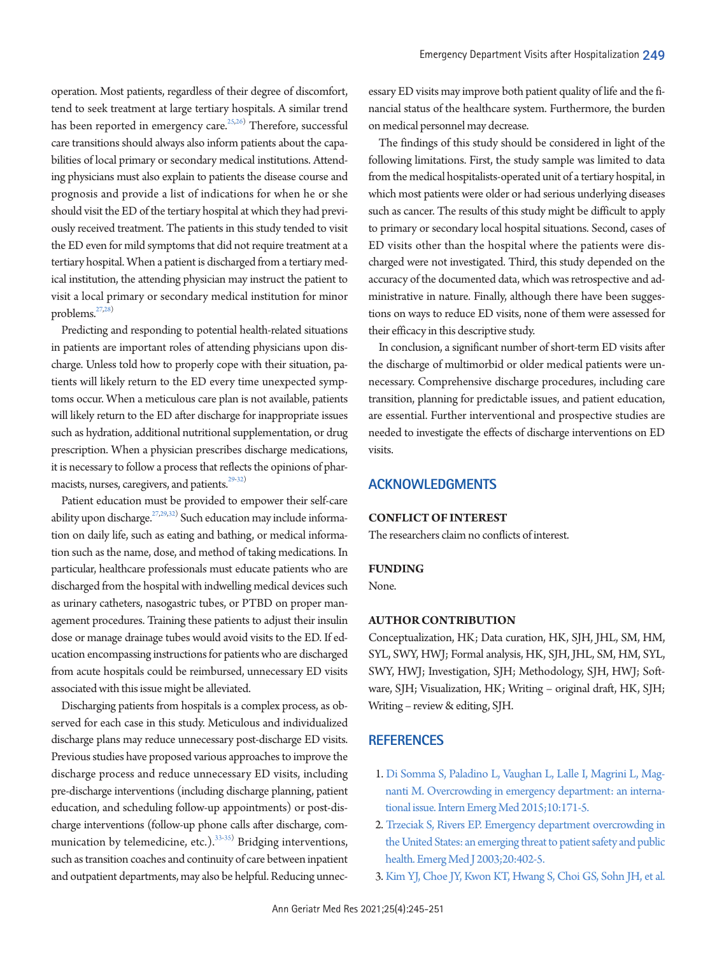operation. Most patients, regardless of their degree of discomfort, tend to seek treatment at large tertiary hospitals. A similar trend has been reported in emergency care.<sup>25[,26\)](#page-5-13)</sup> Therefore, successful care transitions should always also inform patients about the capabilities of local primary or secondary medical institutions. Attending physicians must also explain to patients the disease course and prognosis and provide a list of indications for when he or she should visit the ED of the tertiary hospital at which they had previously received treatment. The patients in this study tended to visit the ED even for mild symptoms that did not require treatment at a tertiary hospital. When a patient is discharged from a tertiary medical institution, the attending physician may instruct the patient to visit a local primary or secondary medical institution for minor problems.<sup>[27](#page-5-11)[,28](#page-5-14))</sup>

Predicting and responding to potential health-related situations in patients are important roles of attending physicians upon discharge. Unless told how to properly cope with their situation, patients will likely return to the ED every time unexpected symptoms occur. When a meticulous care plan is not available, patients will likely return to the ED after discharge for inappropriate issues such as hydration, additional nutritional supplementation, or drug prescription. When a physician prescribes discharge medications, it is necessary to follow a process that reflects the opinions of phar-macists, nurses, caregivers, and patients.<sup>29-[32](#page-5-16))</sup>

Patient education must be provided to empower their self-care ability upon discharge.<sup>27[,29,](#page-5-15)[32\)](#page-5-16)</sup> Such education may include information on daily life, such as eating and bathing, or medical information such as the name, dose, and method of taking medications. In particular, healthcare professionals must educate patients who are discharged from the hospital with indwelling medical devices such as urinary catheters, nasogastric tubes, or PTBD on proper management procedures. Training these patients to adjust their insulin dose or manage drainage tubes would avoid visits to the ED. If education encompassing instructions for patients who are discharged from acute hospitals could be reimbursed, unnecessary ED visits associated with this issue might be alleviated.

Discharging patients from hospitals is a complex process, as observed for each case in this study. Meticulous and individualized discharge plans may reduce unnecessary post-discharge ED visits. Previous studies have proposed various approaches to improve the discharge process and reduce unnecessary ED visits, including pre-discharge interventions (including discharge planning, patient education, and scheduling follow-up appointments) or post-discharge interventions (follow-up phone calls after discharge, com-munication by telemedicine, etc.).<sup>[33](#page-6-0)[-35](#page-6-1))</sup> Bridging interventions, such as transition coaches and continuity of care between inpatient and outpatient departments, may also be helpful. Reducing unnec-

essary ED visits may improve both patient quality of life and the financial status of the healthcare system. Furthermore, the burden on medical personnel may decrease.

The findings of this study should be considered in light of the following limitations. First, the study sample was limited to data from the medical hospitalists-operated unit of a tertiary hospital, in which most patients were older or had serious underlying diseases such as cancer. The results of this study might be difficult to apply to primary or secondary local hospital situations. Second, cases of ED visits other than the hospital where the patients were discharged were not investigated. Third, this study depended on the accuracy of the documented data, which was retrospective and administrative in nature. Finally, although there have been suggestions on ways to reduce ED visits, none of them were assessed for their efficacy in this descriptive study.

In conclusion, a significant number of short-term ED visits after the discharge of multimorbid or older medical patients were unnecessary. Comprehensive discharge procedures, including care transition, planning for predictable issues, and patient education, are essential. Further interventional and prospective studies are needed to investigate the effects of discharge interventions on ED visits.

# **ACKNOWLEDGMENTS**

#### **CONFLICT OF INTEREST**

The researchers claim no conflicts of interest.

#### **FUNDING**

None.

## **AUTHOR CONTRIBUTION**

Conceptualization, HK; Data curation, HK, SJH, JHL, SM, HM, SYL, SWY, HWJ; Formal analysis, HK, SJH, JHL, SM, HM, SYL, SWY, HWJ; Investigation, SJH; Methodology, SJH, HWJ; Software, SJH; Visualization, HK; Writing – original draft, HK, SJH; Writing – review & editing, SJH.

# **REFERENCES**

- <span id="page-4-0"></span>1. [Di Somma S, Paladino L, Vaughan L, Lalle I, Magrini L, Mag](https://doi.org/10.1007/s11739-014-1154-8)[nanti M. Overcrowding in emergency department: an interna](https://doi.org/10.1007/s11739-014-1154-8)[tional issue. Intern Emerg Med 2015;10:171-5.](https://doi.org/10.1007/s11739-014-1154-8)
- <span id="page-4-1"></span>2. Trzeciak S, Rivers E[P. Emergency department overcrowding in](https://doi.org/10.1136/emj.20.5.402)  [the United States: an emerging threat to patient safety and public](https://doi.org/10.1136/emj.20.5.402)  [health. Emerg Med J 2003;20:402-5.](https://doi.org/10.1136/emj.20.5.402)
- <span id="page-4-2"></span>3. [Kim YJ, Choe JY, Kwon KT, Hwang S, Choi GS, Sohn JH, et al.](https://doi.org/10.1017/ice.2020.376)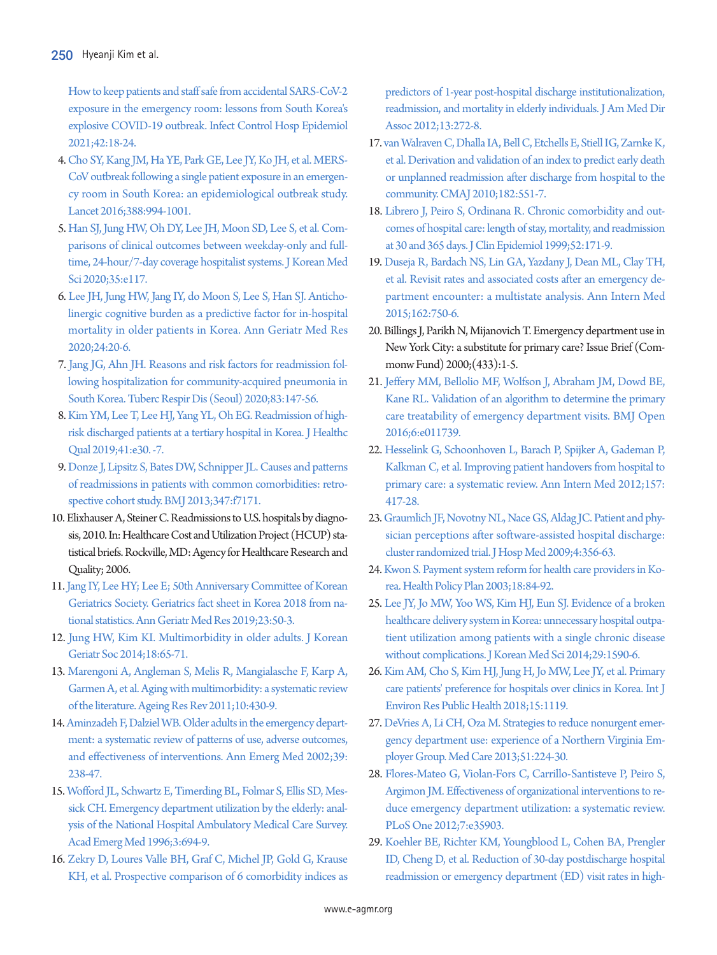[How to keep patients and staff safe from accidental SARS-CoV-2](https://doi.org/10.1017/ice.2020.376)  [exposure in the emergency room: lessons from South Korea's](https://doi.org/10.1017/ice.2020.376)  [explosive COVID-19 outbreak. Infect Control Hosp](https://doi.org/10.1017/ice.2020.376) Epidemiol 2021;42:18-24.

- <span id="page-5-0"></span>[4. Cho SY, Kang JM, Ha YE, Park GE, Lee JY, Ko JH, et al. MERS-](https://doi.org/10.1016/s0140-6736(16)30623-7)[CoV outbreak following a single patient exposure in an emergen](https://doi.org/10.1016/s0140-6736(16)30623-7)[cy room in South Korea: an epidemiological outbreak study.](https://doi.org/10.1016/s0140-6736(16)30623-7)  [Lancet 2016;388:994-1001.](https://doi.org/10.1016/s0140-6736(16)30623-7)
- 5. [Han SJ, Jung HW, Oh DY, Lee JH, Moon SD, Lee S, et al. Com](https://doi.org/10.3346/jkms.2020.35.e117)[parisons of clinical outcomes between weekday-only and full](https://doi.org/10.3346/jkms.2020.35.e117)[time, 24-hour/7-day coverage hospitalist systems. J Korean Med](https://doi.org/10.3346/jkms.2020.35.e117)  [Sci 2020;35:e117.](https://doi.org/10.3346/jkms.2020.35.e117)
- 6. [Lee JH, Jung HW, Jang IY, do Moon S, Lee S, Han SJ. Anticho](https://doi.org/10.4235/agmr.19.0050)[linergic cognitive burden as a predictive factor for in-hospital](https://doi.org/10.4235/agmr.19.0050)  [mortality in older patients in Korea. Ann Geriatr Med Res](https://doi.org/10.4235/agmr.19.0050)  [2020;24:20-6.](https://doi.org/10.4235/agmr.19.0050)
- 7. [Jang JG, Ahn JH. Reasons and risk factors for readmission fol](https://doi.org/10.4046/trd.2019.0073)[lowing hospitalization for community-acquired pneumonia in](https://doi.org/10.4046/trd.2019.0073)  [South Korea. Tuberc Respir Dis \(Seoul\) 2020;83:147-56.](https://doi.org/10.4046/trd.2019.0073)
- 8. [Kim YM, Lee T, Lee HJ, Yang YL, Oh EG. Readmission of high](https://doi.org/10.1097/jhq.0000000000000151)[risk discharged patients at a tertiary hospital in Korea. J Healthc](https://doi.org/10.1097/jhq.0000000000000151)  [Qual 2019;41:e30. -7.](https://doi.org/10.1097/jhq.0000000000000151)
- 9. [Donze J, Lipsitz S, Bates DW, Schnipper JL. Causes and patterns](https://doi.org/10.1136/bmj.f7171)  [of readmissions in patients with common comorbidities: retro](https://doi.org/10.1136/bmj.f7171)[spective cohort study. BMJ 2013;347:f7171.](https://doi.org/10.1136/bmj.f7171)
- <span id="page-5-1"></span>10. Elixhauser A, Steiner C. Readmissions to U.S. hospitals by diagnosis, 2010. In: Healthcare Cost and Utilization Project (HCUP) statistical briefs. Rockville, MD: Agency for Healthcare Research and Quality; 2006.
- <span id="page-5-2"></span>1[1. Jang IY, Lee HY; Lee E; 50th Anniversary Committee of Korean](https://doi.org/10.4235/agmr.19.0013)  [Geriatrics Society. Geriatrics fact sheet in Korea 2018 from na](https://doi.org/10.4235/agmr.19.0013)[tional statistics. Ann Geriatr Med Res 2019;23:50-3.](https://doi.org/10.4235/agmr.19.0013)
- 12. [Jung HW, Kim KI. Multimorbidity in older adults. J Korean](https://doi.org/10.4235/jkgs.2014.18.2.65)  [Geriatr Soc 2014;18:65-71.](https://doi.org/10.4235/jkgs.2014.18.2.65)
- <span id="page-5-3"></span>1[3. Marengoni A, Angleman S, Melis R, Mangialasche F, Karp A,](https://doi.org/10.1016/j.arr.2011.03.003)  [Garmen A, et al. Aging with multimorbidity: a systematic review](https://doi.org/10.1016/j.arr.2011.03.003)  [of the literature. Ageing Res Rev 2011;10:430-9](https://doi.org/10.1016/j.arr.2011.03.003).
- <span id="page-5-4"></span>1[4. Aminzadeh F, Dalziel WB. Older adults in the emergency depart](https://doi.org/10.1067/mem.2002.121523)[ment: a systematic review of patterns of use, adverse outcomes,](https://doi.org/10.1067/mem.2002.121523)  [and effectiveness of interventions. Ann Emerg Med 2002;39:](https://doi.org/10.1067/mem.2002.121523) [238-47.](https://doi.org/10.1067/mem.2002.121523)
- 15. [Wofford JL, Schwartz E, Timerding BL, Folmar S, Ellis SD, Mes](https://doi.org/10.1111/j.1553-2712.1996.tb03493.x)[sick CH. Emergency department utilization by the elderly: anal](https://doi.org/10.1111/j.1553-2712.1996.tb03493.x)[ysis of the National Hospital Ambulatory Medical Care Survey.](https://doi.org/10.1111/j.1553-2712.1996.tb03493.x)  [Acad Emerg Med 1996;3:694-9.](https://doi.org/10.1111/j.1553-2712.1996.tb03493.x)
- 16. [Zekry D, Loures Valle BH, Graf C, Michel JP, Gold G, Krause](https://www.ncbi.nlm.nih.gov/pubmed/21450226)  [KH, et al. Prospective comparison of 6 comorbidity indices as](https://www.ncbi.nlm.nih.gov/pubmed/21450226)

[predictors of 1-year post-hospital discharge institutionalization,](https://www.ncbi.nlm.nih.gov/pubmed/21450226)  [readmission, and mortality in elderly individuals. J](https://www.ncbi.nlm.nih.gov/pubmed/21450226) Am Med Dir Assoc 2012;13:272-8.

- 17. [van Walraven C, Dhalla IA, Bell C, Etchells E, Stiell IG, Zarnke K,](https://doi.org/10.1503/cmaj.091117)  [et al. Derivation and validation of an index to predict early death](https://doi.org/10.1503/cmaj.091117)  [or unplanned readmission after discharge from hospital to the](https://doi.org/10.1503/cmaj.091117)  [community. CMAJ 2010;182:551-7.](https://doi.org/10.1503/cmaj.091117)
- <span id="page-5-5"></span>18. [Librero J, Peiro S, Ordinana R. Chronic comorbidity and out](https://doi.org/10.1016/s0895-4356(98)00160-7)[comes of hospital care: length of stay, mortality, and readmission](https://doi.org/10.1016/s0895-4356(98)00160-7)  [at 30 and 365 days. J Clin Epidemiol 1999;52:171-9.](https://doi.org/10.1016/s0895-4356(98)00160-7)
- <span id="page-5-6"></span>19. [Duseja R, Bardach NS, Lin GA, Yazdany J, Dean ML, Clay TH,](https://doi.org/10.7326/m14-1616)  [et al. Revisit rates and associated costs after an emergency de](https://doi.org/10.7326/m14-1616)[partment encounter: a multistate analysis. Ann Intern Med](https://doi.org/10.7326/m14-1616)  [2015;162:750-6.](https://doi.org/10.7326/m14-1616)
- <span id="page-5-7"></span>20. Billings J, Parikh N, Mijanovich T. Emergency department use in New York City: a substitute for primary care? Issue Brief (Commonw Fund) 2000;(433):1-5.
- <span id="page-5-8"></span>21. [Jeffery MM, Bellolio MF, Wolfson J, Abraham JM, Dowd BE,](https://doi.org/10.1136/bmjopen-2016-011739)  [Kane RL. Validation of an algorithm to determine the primary](https://doi.org/10.1136/bmjopen-2016-011739)  [care treatability of emergency department visits. BMJ Open](https://doi.org/10.1136/bmjopen-2016-011739)  [2016;6:e011739.](https://doi.org/10.1136/bmjopen-2016-011739)
- <span id="page-5-9"></span>22[. Hesselink G, Schoonhoven L, Barach P, Spijker A, Gademan P,](https://doi.org/10.7326/0003-4819-157-6-201209180-00006)  [Kalkman C, et al. Improving patient handovers from hospital to](https://doi.org/10.7326/0003-4819-157-6-201209180-00006)  [primary care: a systematic review. Ann Intern Med 2012;157:](https://doi.org/10.7326/0003-4819-157-6-201209180-00006) [417-28](https://doi.org/10.7326/0003-4819-157-6-201209180-00006).
- <span id="page-5-10"></span>23[. Graumlich JF, Novotny NL, Nace GS, Aldag JC. Patient and phy](https://doi.org/10.1002/jhm.565)[sician perceptions after software-assisted hospital discharge:](https://doi.org/10.1002/jhm.565)  [cluster randomized trial. J Hosp Med 2009;4:356-63.](https://doi.org/10.1002/jhm.565)
- <span id="page-5-11"></span>24. Kwon S. Payment system [reform for health care providers in Ko](https://doi.org/10.1093/heapol/18.1.84)[rea. Health Policy Plan 2003;18:84-92.](https://doi.org/10.1093/heapol/18.1.84)
- <span id="page-5-12"></span>25[. Lee JY, Jo MW, Yoo WS, Kim HJ, Eun SJ. Evidence of a broken](https://doi.org/10.3346/jkms.2014.29.12.1590)  [healthcare delivery system in Korea: unnecessary hospital outpa](https://doi.org/10.3346/jkms.2014.29.12.1590)[tient utilization among patients with a single chronic disease](https://doi.org/10.3346/jkms.2014.29.12.1590)  [without complications. J Korean Med Sci](https://doi.org/10.3346/jkms.2014.29.12.1590) 2014;29:1590-6.
- <span id="page-5-15"></span><span id="page-5-13"></span>26[. Kim AM, Cho S, Kim HJ, Jung H, Jo MW, Lee JY, et al. Primary](https://doi.org/10.3390/ijerph15061119)  [care patients' preference for hospitals over clinics in Korea. Int J](https://doi.org/10.3390/ijerph15061119)  [Environ Res Public Health 2018;15:1119](https://doi.org/10.3390/ijerph15061119).
- 27. [DeVries A, Li CH, Oza M. Strategies to reduce nonurgent emer](https://doi.org/10.1097/mlr.0b013e3182726b83)[gency department use: experience of a Northern Virginia Em](https://doi.org/10.1097/mlr.0b013e3182726b83)[ployer Group. Med Care 2013;51:224-30.](https://doi.org/10.1097/mlr.0b013e3182726b83)
- <span id="page-5-14"></span>28[. Flores-Mateo G, Violan-Fors C, Carrillo-Santisteve P, Peiro S,](https://doi.org/10.1371/journal.pone.0035903)  [Argimon JM. Effectiveness of organizational interventions to re](https://doi.org/10.1371/journal.pone.0035903)[duce emergency department utilization: a systematic review.](https://doi.org/10.1371/journal.pone.0035903)  [PLoS One 2012;7:e35903.](https://doi.org/10.1371/journal.pone.0035903)
- <span id="page-5-16"></span>29. Koehler BE, Richter KM, [Youngblood L, Cohen BA, Prengler](https://doi.org/10.1002/jhm.427)  [ID, Cheng D, et al. Reduction of 30-day postdischarge hospital](https://doi.org/10.1002/jhm.427)  [readmission or emergency department \(ED\) visit rates in high-](https://doi.org/10.1002/jhm.427)